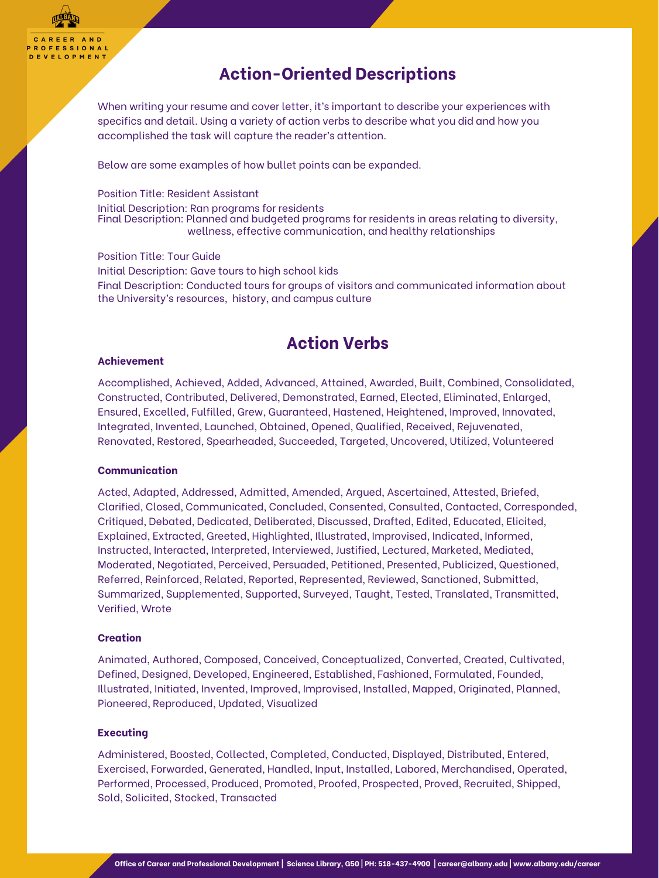CAREER AND **PROFESSIONAL DEVELOPMENT** 

## **Action-Oriented Descriptions**

When writing your resume and cover letter, it's important to describe your experiences with specifics and detail. Using a variety of action verbs to describe what you did and how you accomplished the task will capture the reader's attention.

Below are some examples of how bullet points can be expanded.

Position Title: Resident Assistant Initial Description: Ran programs for residents Final Description: Planned and budgeted programs for residents in areas relating to diversity, wellness, effective communication, and healthy relationships

Position Title: Tour Guide Initial Description: Gave tours to high school kids Final Description: Conducted tours for groups of visitors and communicated information about the University's resources, history, and campus culture

# **Action Verbs**

### **Achievement**

Accomplished, Achieved, Added, Advanced, Attained, Awarded, Built, Combined, Consolidated, Constructed, Contributed, Delivered, Demonstrated, Earned, Elected, Eliminated, Enlarged, Ensured, Excelled, Fulfilled, Grew, Guaranteed, Hastened, Heightened, Improved, Innovated, Integrated, Invented, Launched, Obtained, Opened, Qualified, Received, Rejuvenated, Renovated, Restored, Spearheaded, Succeeded, Targeted, Uncovered, Utilized, Volunteered

### **Communication**

Acted, Adapted, Addressed, Admitted, Amended, Argued, Ascertained, Attested, Briefed, Clarified, Closed, Communicated, Concluded, Consented, Consulted, Contacted, Corresponded, Critiqued, Debated, Dedicated, Deliberated, Discussed, Drafted, Edited, Educated, Elicited, Explained, Extracted, Greeted, Highlighted, Illustrated, Improvised, Indicated, Informed, Instructed, Interacted, Interpreted, Interviewed, Justified, Lectured, Marketed, Mediated, Moderated, Negotiated, Perceived, Persuaded, Petitioned, Presented, Publicized, Questioned, Referred, Reinforced, Related, Reported, Represented, Reviewed, Sanctioned, Submitted, Summarized, Supplemented, Supported, Surveyed, Taught, Tested, Translated, Transmitted, Verified, Wrote

### **Creation**

Animated, Authored, Composed, Conceived, Conceptualized, Converted, Created, Cultivated, Defined, Designed, Developed, Engineered, Established, Fashioned, Formulated, Founded, Illustrated, Initiated, Invented, Improved, Improvised, Installed, Mapped, Originated, Planned, Pioneered, Reproduced, Updated, Visualized

### **Executing**

Administered, Boosted, Collected, Completed, Conducted, Displayed, Distributed, Entered, Exercised, Forwarded, Generated, Handled, Input, Installed, Labored, Merchandised, Operated, Performed, Processed, Produced, Promoted, Proofed, Prospected, Proved, Recruited, Shipped, Sold, Solicited, Stocked, Transacted